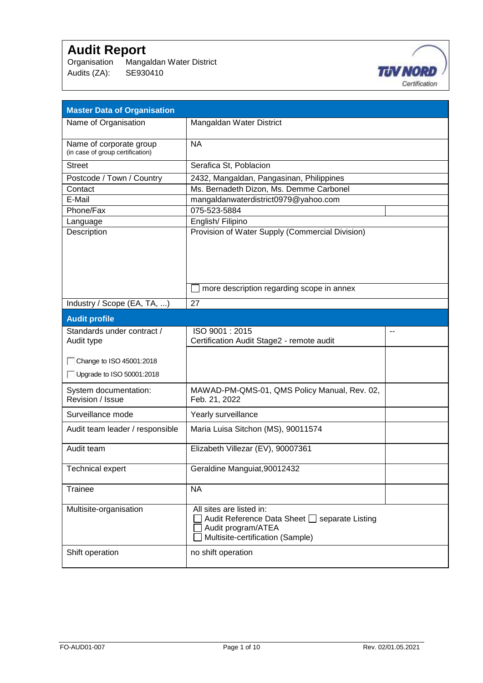Organisation Mangaldan Water District Audits (ZA): SE930410



| <b>Master Data of Organisation</b>                          |                                                                                                                                     |  |
|-------------------------------------------------------------|-------------------------------------------------------------------------------------------------------------------------------------|--|
| Name of Organisation                                        | Mangaldan Water District                                                                                                            |  |
| Name of corporate group<br>(in case of group certification) | <b>NA</b>                                                                                                                           |  |
| <b>Street</b>                                               | Serafica St, Poblacion                                                                                                              |  |
| Postcode / Town / Country                                   | 2432, Mangaldan, Pangasinan, Philippines                                                                                            |  |
| Contact                                                     | Ms. Bernadeth Dizon, Ms. Demme Carbonel                                                                                             |  |
| E-Mail                                                      | mangaldanwaterdistrict0979@yahoo.com                                                                                                |  |
| Phone/Fax                                                   | 075-523-5884                                                                                                                        |  |
| Language                                                    | English/Filipino                                                                                                                    |  |
| Description                                                 | Provision of Water Supply (Commercial Division)                                                                                     |  |
|                                                             | more description regarding scope in annex                                                                                           |  |
| Industry / Scope (EA, TA, )                                 | 27                                                                                                                                  |  |
| <b>Audit profile</b>                                        |                                                                                                                                     |  |
| Standards under contract /                                  | ISO 9001: 2015                                                                                                                      |  |
| Audit type                                                  | Certification Audit Stage2 - remote audit                                                                                           |  |
| Change to ISO 45001:2018                                    |                                                                                                                                     |  |
| Upgrade to ISO 50001:2018                                   |                                                                                                                                     |  |
| System documentation:<br>Revision / Issue                   | MAWAD-PM-QMS-01, QMS Policy Manual, Rev. 02,<br>Feb. 21, 2022                                                                       |  |
| Surveillance mode                                           | Yearly surveillance                                                                                                                 |  |
| Audit team leader / responsible                             | Maria Luisa Sitchon (MS), 90011574                                                                                                  |  |
| Audit team                                                  | Elizabeth Villezar (EV), 90007361                                                                                                   |  |
| <b>Technical expert</b>                                     | Geraldine Manguiat, 90012432                                                                                                        |  |
| <b>Trainee</b>                                              | <b>NA</b>                                                                                                                           |  |
| Multisite-organisation                                      | All sites are listed in:<br>Audit Reference Data Sheet □ separate Listing<br>Audit program/ATEA<br>Multisite-certification (Sample) |  |
| Shift operation                                             | no shift operation                                                                                                                  |  |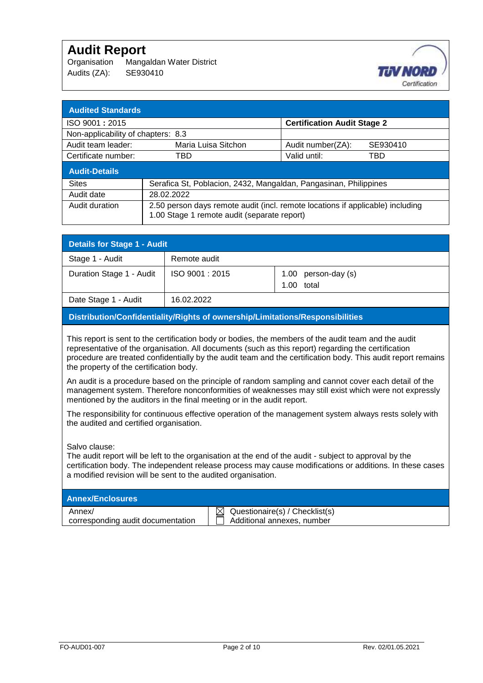Organisation Mangaldan Water District Audits (ZA): SE930410



| <b>Audited Standards</b>           |                                                                                                                               |                                    |          |  |  |  |
|------------------------------------|-------------------------------------------------------------------------------------------------------------------------------|------------------------------------|----------|--|--|--|
| ISO 9001: 2015                     |                                                                                                                               | <b>Certification Audit Stage 2</b> |          |  |  |  |
| Non-applicability of chapters: 8.3 |                                                                                                                               |                                    |          |  |  |  |
| Audit team leader:                 | Maria Luisa Sitchon                                                                                                           | Audit number(ZA):                  | SE930410 |  |  |  |
| Certificate number:                | TBD.                                                                                                                          | Valid until:                       | TBD      |  |  |  |
| <b>Audit-Details</b>               |                                                                                                                               |                                    |          |  |  |  |
| <b>Sites</b>                       | Serafica St, Poblacion, 2432, Mangaldan, Pangasinan, Philippines                                                              |                                    |          |  |  |  |
| Audit date                         | 28.02.2022                                                                                                                    |                                    |          |  |  |  |
| Audit duration                     | 2.50 person days remote audit (incl. remote locations if applicable) including<br>1.00 Stage 1 remote audit (separate report) |                                    |          |  |  |  |

| <b>Details for Stage 1 - Audit</b> |                |                       |  |  |  |
|------------------------------------|----------------|-----------------------|--|--|--|
| Stage 1 - Audit                    | Remote audit   |                       |  |  |  |
| Duration Stage 1 - Audit           | ISO 9001: 2015 | 1.00 person-day $(s)$ |  |  |  |
|                                    |                | total<br>1.00         |  |  |  |
| Date Stage 1 - Audit               | 16.02.2022     |                       |  |  |  |

#### **Distribution/Confidentiality/Rights of ownership/Limitations/Responsibilities**

This report is sent to the certification body or bodies, the members of the audit team and the audit representative of the organisation. All documents (such as this report) regarding the certification procedure are treated confidentially by the audit team and the certification body. This audit report remains the property of the certification body.

An audit is a procedure based on the principle of random sampling and cannot cover each detail of the management system. Therefore nonconformities of weaknesses may still exist which were not expressly mentioned by the auditors in the final meeting or in the audit report.

The responsibility for continuous effective operation of the management system always rests solely with the audited and certified organisation.

Salvo clause:

The audit report will be left to the organisation at the end of the audit - subject to approval by the certification body. The independent release process may cause modifications or additions. In these cases a modified revision will be sent to the audited organisation.

| <b>Annex/Enclosures</b>           |                                             |
|-----------------------------------|---------------------------------------------|
| Annex/                            | $\bowtie$<br>Questionaire(s) / Checklist(s) |
| corresponding audit documentation | Additional annexes, number                  |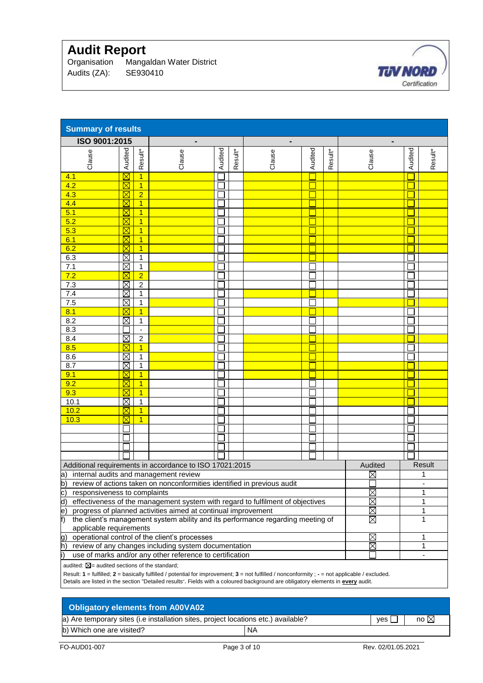Organisation Mangaldan Water District Audits (ZA): SE930410



| <b>Summary of results</b>                                                                                 |                                                                                                                                                |                |                                                                                                                                 |         |         |        |         |         |        |         |                          |
|-----------------------------------------------------------------------------------------------------------|------------------------------------------------------------------------------------------------------------------------------------------------|----------------|---------------------------------------------------------------------------------------------------------------------------------|---------|---------|--------|---------|---------|--------|---------|--------------------------|
|                                                                                                           | ISO 9001:2015<br>$\qquad \qquad \blacksquare$                                                                                                  |                |                                                                                                                                 |         |         |        |         |         |        |         |                          |
|                                                                                                           |                                                                                                                                                |                |                                                                                                                                 |         |         |        |         |         |        |         |                          |
| Clause                                                                                                    | Audited                                                                                                                                        | Result*        | Clause                                                                                                                          | Audited | Result* | Clause | Audited | Result* | Clause | Audited | Result*                  |
|                                                                                                           |                                                                                                                                                |                |                                                                                                                                 |         |         |        |         |         |        |         |                          |
| 4.1                                                                                                       | $\boxtimes$                                                                                                                                    | $\overline{1}$ |                                                                                                                                 |         |         |        |         |         |        |         |                          |
| 4.2                                                                                                       | $\boxtimes$                                                                                                                                    | $\overline{1}$ |                                                                                                                                 |         |         |        |         |         |        |         |                          |
| 4.3                                                                                                       | $\boxtimes$                                                                                                                                    | $\overline{2}$ |                                                                                                                                 |         |         |        |         |         |        |         |                          |
| 4.4                                                                                                       | $\boxtimes$                                                                                                                                    | $\overline{1}$ |                                                                                                                                 |         |         |        |         |         |        |         |                          |
| 5.1                                                                                                       | $\boxtimes$                                                                                                                                    | $\overline{1}$ |                                                                                                                                 |         |         |        |         |         |        |         |                          |
| $\overline{5.2}$                                                                                          | $\boxtimes$                                                                                                                                    | 1              |                                                                                                                                 |         |         |        |         |         |        |         |                          |
| 5.3                                                                                                       | $\boxtimes$                                                                                                                                    | $\overline{1}$ |                                                                                                                                 |         |         |        |         |         |        |         |                          |
| 6.1                                                                                                       | $\boxtimes$                                                                                                                                    | $\overline{1}$ |                                                                                                                                 |         |         |        |         |         |        |         |                          |
| 6.2                                                                                                       | $\boxtimes$                                                                                                                                    | $\overline{1}$ |                                                                                                                                 |         |         |        |         |         |        |         |                          |
| 6.3                                                                                                       | $\boxtimes$                                                                                                                                    | 1              |                                                                                                                                 |         |         |        |         |         |        |         |                          |
| 7.1                                                                                                       | $\boxtimes$                                                                                                                                    | 1              |                                                                                                                                 |         |         |        |         |         |        |         |                          |
| 7.2                                                                                                       |                                                                                                                                                | $\overline{2}$ |                                                                                                                                 |         |         |        |         |         |        |         |                          |
| 7.3                                                                                                       | $\boxtimes$                                                                                                                                    | $\overline{2}$ |                                                                                                                                 |         |         |        |         |         |        |         |                          |
| 7.4                                                                                                       | $\boxtimes$                                                                                                                                    | $\mathbf{1}$   |                                                                                                                                 |         |         |        |         |         |        |         |                          |
| 7.5                                                                                                       | $\boxtimes$                                                                                                                                    | $\mathbf{1}$   |                                                                                                                                 |         |         |        |         |         |        |         |                          |
| 8.1                                                                                                       | $\boxtimes$                                                                                                                                    | 1              |                                                                                                                                 |         |         |        |         |         |        |         |                          |
| 8.2                                                                                                       | $\boxtimes$                                                                                                                                    | 1              |                                                                                                                                 |         |         |        |         |         |        |         |                          |
| 8.3                                                                                                       |                                                                                                                                                |                |                                                                                                                                 |         |         |        |         |         |        |         |                          |
| 8.4                                                                                                       | $\boxtimes$                                                                                                                                    | $\overline{c}$ |                                                                                                                                 |         |         |        |         |         |        |         |                          |
| 8.5                                                                                                       |                                                                                                                                                | 1              |                                                                                                                                 |         |         |        |         |         |        |         |                          |
| 8.6                                                                                                       | $\boxtimes$                                                                                                                                    | $\mathbf{1}$   |                                                                                                                                 |         |         |        |         |         |        |         |                          |
| 8.7                                                                                                       | Ø                                                                                                                                              | $\mathbf{1}$   |                                                                                                                                 |         |         |        |         |         |        |         |                          |
| 9.1                                                                                                       | $\boxtimes$                                                                                                                                    | 1              |                                                                                                                                 |         |         |        |         |         |        |         |                          |
| 9.2                                                                                                       | ⊠                                                                                                                                              | 1              |                                                                                                                                 |         |         |        |         |         |        |         |                          |
| 9.3                                                                                                       |                                                                                                                                                | $\overline{1}$ |                                                                                                                                 |         |         |        |         |         |        |         |                          |
| 10.1                                                                                                      | $\boxtimes$                                                                                                                                    | $\mathbf{1}$   |                                                                                                                                 |         |         |        |         |         |        |         |                          |
| 10.2                                                                                                      | $\boxtimes$                                                                                                                                    | 1              |                                                                                                                                 |         |         |        |         |         |        |         |                          |
| 10.3                                                                                                      | $\boxtimes$                                                                                                                                    | $\overline{1}$ |                                                                                                                                 |         |         |        |         |         |        |         |                          |
|                                                                                                           |                                                                                                                                                |                |                                                                                                                                 |         |         |        |         |         |        |         |                          |
|                                                                                                           |                                                                                                                                                |                |                                                                                                                                 |         |         |        |         |         |        |         |                          |
|                                                                                                           |                                                                                                                                                |                |                                                                                                                                 |         |         |        |         |         |        |         |                          |
|                                                                                                           |                                                                                                                                                |                |                                                                                                                                 |         |         |        |         |         |        |         |                          |
|                                                                                                           | Additional requirements in accordance to ISO 17021:2015<br>Audited<br>Result                                                                   |                |                                                                                                                                 |         |         |        |         |         |        |         |                          |
| a) internal audits and management review<br>$\boxtimes$<br>1                                              |                                                                                                                                                |                |                                                                                                                                 |         |         |        |         |         |        |         |                          |
| b)<br>review of actions taken on nonconformities identified in previous audit                             |                                                                                                                                                |                |                                                                                                                                 |         |         |        |         |         |        |         |                          |
| $\overline{c}$<br>$\boxtimes$<br>1<br>responsiveness to complaints                                        |                                                                                                                                                |                |                                                                                                                                 |         |         |        |         |         |        |         |                          |
| d)<br>$\boxtimes$<br>effectiveness of the management system with regard to fulfilment of objectives<br>1  |                                                                                                                                                |                |                                                                                                                                 |         |         |        |         |         |        |         |                          |
| progress of planned activities aimed at continual improvement<br>$\boxtimes$<br>$\ket{\mathsf{e}}$<br>1   |                                                                                                                                                |                |                                                                                                                                 |         |         |        |         |         |        |         |                          |
| $\boxtimes$<br>the client's management system ability and its performance regarding meeting of<br>f)<br>1 |                                                                                                                                                |                |                                                                                                                                 |         |         |        |         |         |        |         |                          |
| applicable requirements                                                                                   |                                                                                                                                                |                |                                                                                                                                 |         |         |        |         |         |        |         |                          |
| $\boxtimes$<br>operational control of the client's processes<br>g)<br>1                                   |                                                                                                                                                |                |                                                                                                                                 |         |         |        |         |         |        |         |                          |
| h)<br>review of any changes including system documentation<br>$\boxtimes$<br>1                            |                                                                                                                                                |                |                                                                                                                                 |         |         |        |         |         |        |         |                          |
| i)                                                                                                        |                                                                                                                                                |                | use of marks and/or any other reference to certification                                                                        |         |         |        |         |         |        |         | $\overline{\phantom{a}}$ |
| audited: $\boxtimes$ = audited sections of the standard;                                                  |                                                                                                                                                |                |                                                                                                                                 |         |         |        |         |         |        |         |                          |
|                                                                                                           | Result: 1 = fulfilled; 2 = basically fulfilled / potential for improvement; 3 = not fulfilled / nonconformity ; - = not applicable / excluded. |                |                                                                                                                                 |         |         |        |         |         |        |         |                          |
|                                                                                                           |                                                                                                                                                |                | Details are listed in the section "Detailed results". Fields with a coloured background are obligatory elements in every audit. |         |         |        |         |         |        |         |                          |

## **Obligatory elements from A00VA02**

a) Are temporary sites (i.e installation sites, project locations etc.) available?  $|$  yes  $\Box$  no  $\boxtimes$ b) Which one are visited? NA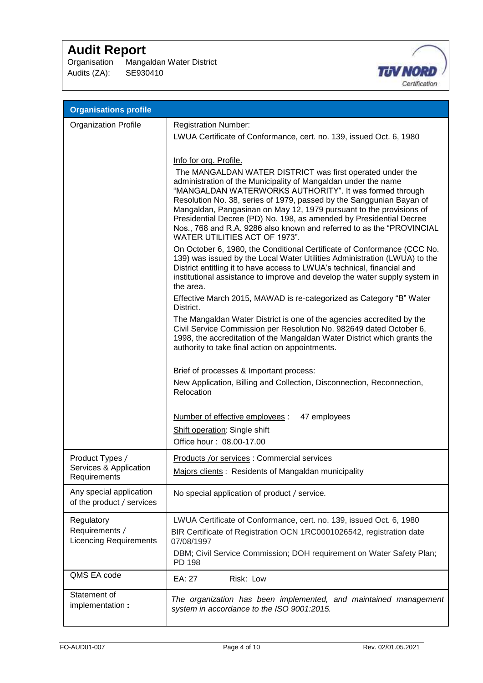Organisation Mangaldan Water District Audits (ZA): SE930410



| <b>Organisations profile</b>                                  |                                                                                                                                                                                                                                                                                                                                                                                                                                                                                                                                                  |
|---------------------------------------------------------------|--------------------------------------------------------------------------------------------------------------------------------------------------------------------------------------------------------------------------------------------------------------------------------------------------------------------------------------------------------------------------------------------------------------------------------------------------------------------------------------------------------------------------------------------------|
| <b>Organization Profile</b>                                   | <b>Registration Number:</b><br>LWUA Certificate of Conformance, cert. no. 139, issued Oct. 6, 1980                                                                                                                                                                                                                                                                                                                                                                                                                                               |
|                                                               | Info for org. Profile.<br>The MANGALDAN WATER DISTRICT was first operated under the<br>administration of the Municipality of Mangaldan under the name<br>"MANGALDAN WATERWORKS AUTHORITY". It was formed through<br>Resolution No. 38, series of 1979, passed by the Sanggunian Bayan of<br>Mangaldan, Pangasinan on May 12, 1979 pursuant to the provisions of<br>Presidential Decree (PD) No. 198, as amended by Presidential Decree<br>Nos., 768 and R.A. 9286 also known and referred to as the "PROVINCIAL<br>WATER UTILITIES ACT OF 1973". |
|                                                               | On October 6, 1980, the Conditional Certificate of Conformance (CCC No.<br>139) was issued by the Local Water Utilities Administration (LWUA) to the<br>District entitling it to have access to LWUA's technical, financial and<br>institutional assistance to improve and develop the water supply system in<br>the area.<br>Effective March 2015, MAWAD is re-categorized as Category "B" Water                                                                                                                                                |
|                                                               | District.<br>The Mangaldan Water District is one of the agencies accredited by the<br>Civil Service Commission per Resolution No. 982649 dated October 6,<br>1998, the accreditation of the Mangaldan Water District which grants the<br>authority to take final action on appointments.                                                                                                                                                                                                                                                         |
|                                                               | Brief of processes & Important process:<br>New Application, Billing and Collection, Disconnection, Reconnection,<br>Relocation                                                                                                                                                                                                                                                                                                                                                                                                                   |
|                                                               | Number of effective employees :<br>47 employees<br>Shift operation: Single shift<br>Office hour: 08.00-17.00                                                                                                                                                                                                                                                                                                                                                                                                                                     |
| Product Types /<br>Services & Application<br>Requirements     | Products /or services : Commercial services<br>Majors clients: Residents of Mangaldan municipality                                                                                                                                                                                                                                                                                                                                                                                                                                               |
| Any special application<br>of the product / services          | No special application of product / service.                                                                                                                                                                                                                                                                                                                                                                                                                                                                                                     |
| Regulatory<br>Requirements /<br><b>Licencing Requirements</b> | LWUA Certificate of Conformance, cert. no. 139, issued Oct. 6, 1980<br>BIR Certificate of Registration OCN 1RC0001026542, registration date<br>07/08/1997<br>DBM; Civil Service Commission; DOH requirement on Water Safety Plan;<br>PD 198                                                                                                                                                                                                                                                                                                      |
| QMS EA code                                                   | EA: 27<br>Risk: Low                                                                                                                                                                                                                                                                                                                                                                                                                                                                                                                              |
| Statement of<br>implementation :                              | The organization has been implemented, and maintained management<br>system in accordance to the ISO 9001:2015.                                                                                                                                                                                                                                                                                                                                                                                                                                   |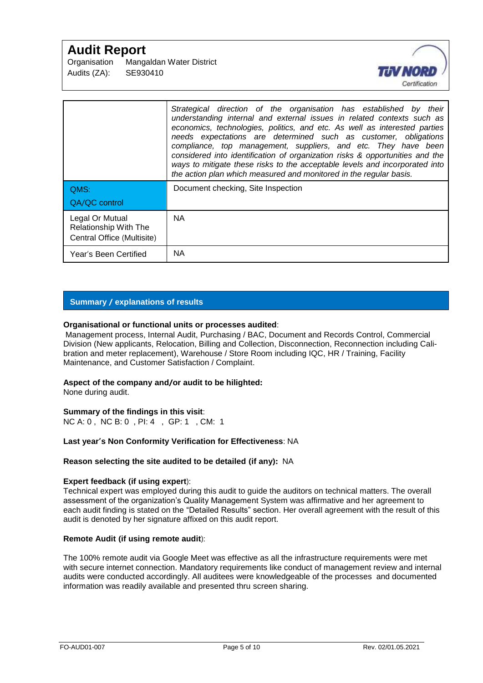| Organisation | Mangaldan Water District |
|--------------|--------------------------|
| Audits (ZA): | SE930410                 |



|                                                                               | Strategical direction of the organisation has established by their<br>understanding internal and external issues in related contexts such as<br>economics, technologies, politics, and etc. As well as interested parties<br>needs expectations are determined such as customer, obligations<br>compliance, top management, suppliers, and etc. They have been<br>considered into identification of organization risks & opportunities and the<br>ways to mitigate these risks to the acceptable levels and incorporated into<br>the action plan which measured and monitored in the regular basis. |
|-------------------------------------------------------------------------------|-----------------------------------------------------------------------------------------------------------------------------------------------------------------------------------------------------------------------------------------------------------------------------------------------------------------------------------------------------------------------------------------------------------------------------------------------------------------------------------------------------------------------------------------------------------------------------------------------------|
| QMS:<br>QA/QC control                                                         | Document checking, Site Inspection                                                                                                                                                                                                                                                                                                                                                                                                                                                                                                                                                                  |
| Legal Or Mutual<br><b>Relationship With The</b><br>Central Office (Multisite) | <b>NA</b>                                                                                                                                                                                                                                                                                                                                                                                                                                                                                                                                                                                           |
| Year's Been Certified                                                         | <b>NA</b>                                                                                                                                                                                                                                                                                                                                                                                                                                                                                                                                                                                           |

## **Summary / explanations of results**

#### **Organisational or functional units or processes audited**:

Management process, Internal Audit, Purchasing / BAC, Document and Records Control, Commercial Division (New applicants, Relocation, Billing and Collection, Disconnection, Reconnection including Calibration and meter replacement), Warehouse / Store Room including IQC, HR / Training, Facility Maintenance, and Customer Satisfaction / Complaint.

#### **Aspect of the company and/or audit to be hilighted:**

None during audit.

## **Summary of the findings in this visit**:

NC A: 0 , NC B: 0 , PI: 4 , GP: 1 , CM: 1

#### **Last year's Non Conformity Verification for Effectiveness**: NA

#### **Reason selecting the site audited to be detailed (if any):** NA

#### **Expert feedback (if using expert**):

Technical expert was employed during this audit to guide the auditors on technical matters. The overall assessment of the organization's Quality Management System was affirmative and her agreement to each audit finding is stated on the "Detailed Results" section. Her overall agreement with the result of this audit is denoted by her signature affixed on this audit report.

#### **Remote Audit (if using remote audit**):

The 100% remote audit via Google Meet was effective as all the infrastructure requirements were met with secure internet connection. Mandatory requirements like conduct of management review and internal audits were conducted accordingly. All auditees were knowledgeable of the processes and documented information was readily available and presented thru screen sharing.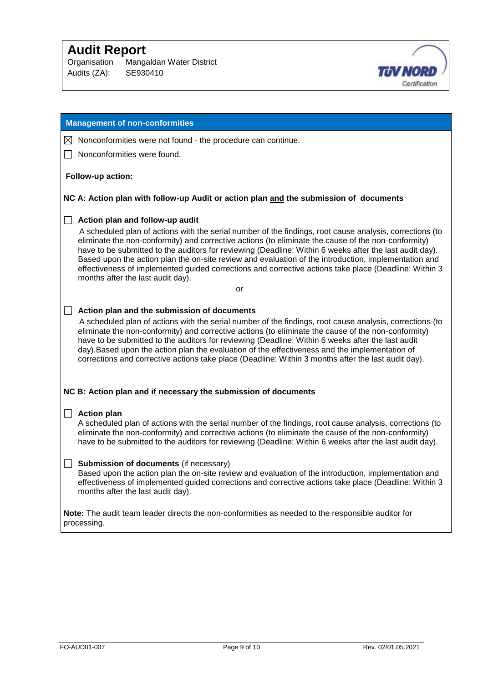Organisation Mangaldan Water District Audits (ZA): SE930410



### **Management of non-conformities**

- $\boxtimes$  Nonconformities were not found the procedure can continue.
- Nonconformities were found.

#### **Follow-up action:**

#### **NC A: Action plan with follow-up Audit or action plan and the submission of documents**

#### **Action plan and follow-up audit**

 A scheduled plan of actions with the serial number of the findings, root cause analysis, corrections (to eliminate the non-conformity) and corrective actions (to eliminate the cause of the non-conformity) have to be submitted to the auditors for reviewing (Deadline: Within 6 weeks after the last audit day). Based upon the action plan the on-site review and evaluation of the introduction, implementation and effectiveness of implemented guided corrections and corrective actions take place (Deadline: Within 3 months after the last audit day).

or

#### **Action plan and the submission of documents**

 A scheduled plan of actions with the serial number of the findings, root cause analysis, corrections (to eliminate the non-conformity) and corrective actions (to eliminate the cause of the non-conformity) have to be submitted to the auditors for reviewing (Deadline: Within 6 weeks after the last audit day).Based upon the action plan the evaluation of the effectiveness and the implementation of corrections and corrective actions take place (Deadline: Within 3 months after the last audit day).

#### **NC B: Action plan and if necessary the submission of documents**

#### **Action plan**

A scheduled plan of actions with the serial number of the findings, root cause analysis, corrections (to eliminate the non-conformity) and corrective actions (to eliminate the cause of the non-conformity) have to be submitted to the auditors for reviewing (Deadline: Within 6 weeks after the last audit day).

#### **Submission of documents** (if necessary)

Based upon the action plan the on-site review and evaluation of the introduction, implementation and effectiveness of implemented guided corrections and corrective actions take place (Deadline: Within 3 months after the last audit day).

**Note:** The audit team leader directs the non-conformities as needed to the responsible auditor for processing.